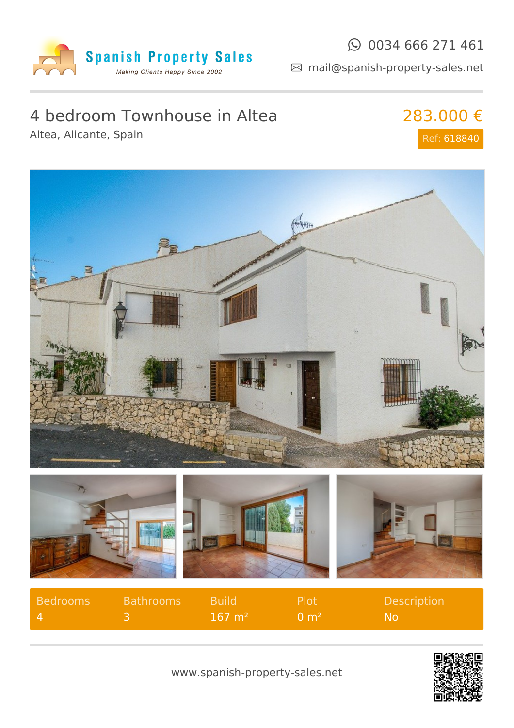

#### $\odot$  0034 666 271 461

mail@spanish-property-sales.net

# 4 bedroom Townhouse in Altea

Altea, Alicante, Spain

283.000 € Ref: 618840



| Bedrooms     | <b>Bathrooms</b> | - Build           | - Plot                  | <b>Description</b> |
|--------------|------------------|-------------------|-------------------------|--------------------|
| $\mathbf{A}$ |                  | $167 \text{ m}^2$ | $\Omega$ m <sup>2</sup> | Z Noz              |



www.spanish-property-sales.net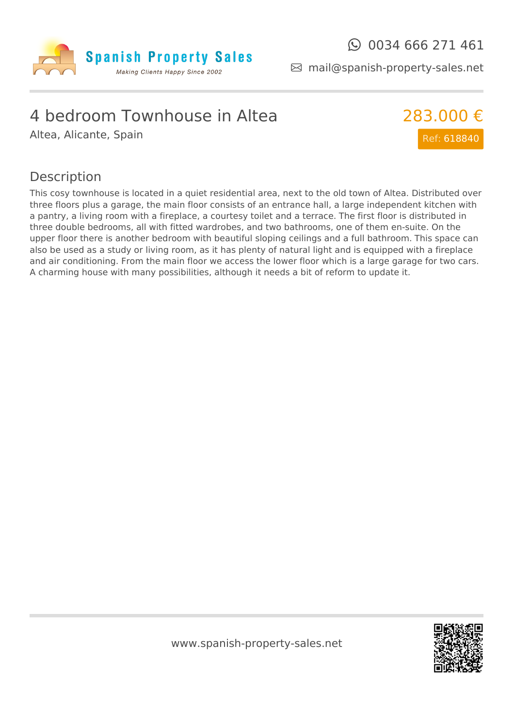

mail@spanish-property-sales.net

### 4 bedroom Townhouse in Altea

Altea, Alicante, Spain



#### Description

This cosy townhouse is located in a quiet residential area, next to the old town of Altea. Distributed over three floors plus a garage, the main floor consists of an entrance hall, a large independent kitchen with a pantry, a living room with a fireplace, a courtesy toilet and a terrace. The first floor is distributed in three double bedrooms, all with fitted wardrobes, and two bathrooms, one of them en-suite. On the upper floor there is another bedroom with beautiful sloping ceilings and a full bathroom. This space can also be used as a study or living room, as it has plenty of natural light and is equipped with a fireplace and air conditioning. From the main floor we access the lower floor which is a large garage for two cars. A charming house with many possibilities, although it needs a bit of reform to update it.